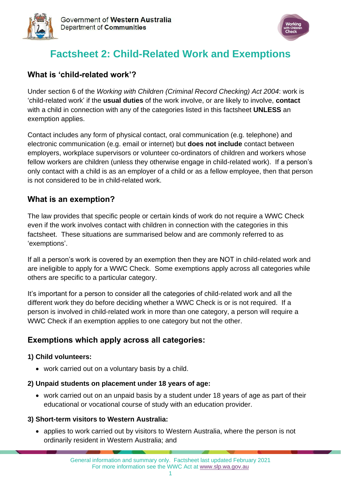



# **Factsheet 2: Child-Related Work and Exemptions**

### **What is 'child-related work'?**

Under section 6 of the *Working with Children (Criminal Record Checking) Act 2004*: work is 'child-related work' if the **usual duties** of the work involve, or are likely to involve, **contact**  with a child in connection with any of the categories listed in this factsheet **UNLESS** an exemption applies.

Contact includes any form of physical contact, oral communication (e.g. telephone) and electronic communication (e.g. email or internet) but **does not include** contact between employers, workplace supervisors or volunteer co-ordinators of children and workers whose fellow workers are children (unless they otherwise engage in child-related work). If a person's only contact with a child is as an employer of a child or as a fellow employee, then that person is not considered to be in child-related work.

### **What is an exemption?**

The law provides that specific people or certain kinds of work do not require a WWC Check even if the work involves contact with children in connection with the categories in this factsheet. These situations are summarised below and are commonly referred to as 'exemptions'.

If all a person's work is covered by an exemption then they are NOT in child-related work and are ineligible to apply for a WWC Check. Some exemptions apply across all categories while others are specific to a particular category.

It's important for a person to consider all the categories of child-related work and all the different work they do before deciding whether a WWC Check is or is not required. If a person is involved in child-related work in more than one category, a person will require a WWC Check if an exemption applies to one category but not the other.

# **Exemptions which apply across all categories:**

#### **1) Child volunteers:**

• work carried out on a voluntary basis by a child.

#### **2) Unpaid students on placement under 18 years of age:**

• work carried out on an unpaid basis by a student under 18 years of age as part of their educational or vocational course of study with an education provider.

#### **3) Short-term visitors to Western Australia:**

• applies to work carried out by visitors to Western Australia, where the person is not ordinarily resident in Western Australia; and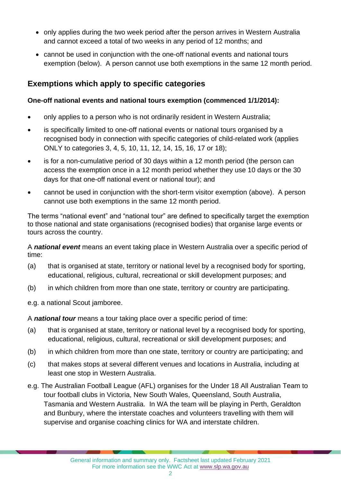- only applies during the two week period after the person arrives in Western Australia and cannot exceed a total of two weeks in any period of 12 months; and
- cannot be used in conjunction with the one-off national events and national tours exemption (below). A person cannot use both exemptions in the same 12 month period.

# **Exemptions which apply to specific categories**

### **One-off national events and national tours exemption (commenced 1/1/2014):**

- only applies to a person who is not ordinarily resident in Western Australia;
- is specifically limited to one-off national events or national tours organised by a recognised body in connection with specific categories of child-related work (applies ONLY to categories 3, 4, 5, 10, 11, 12, 14, 15, 16, 17 or 18);
- is for a non-cumulative period of 30 days within a 12 month period (the person can access the exemption once in a 12 month period whether they use 10 days or the 30 days for that one-off national event or national tour); and
- cannot be used in conjunction with the short-term visitor exemption (above). A person cannot use both exemptions in the same 12 month period.

The terms "national event" and "national tour" are defined to specifically target the exemption to those national and state organisations (recognised bodies) that organise large events or tours across the country.

A *national event* means an event taking place in Western Australia over a specific period of time:

- (a) that is organised at state, territory or national level by a recognised body for sporting, educational, religious, cultural, recreational or skill development purposes; and
- (b) in which children from more than one state, territory or country are participating.

e.g. a national Scout jamboree.

A *national tour* means a tour taking place over a specific period of time:

- (a) that is organised at state, territory or national level by a recognised body for sporting, educational, religious, cultural, recreational or skill development purposes; and
- (b) in which children from more than one state, territory or country are participating; and
- (c) that makes stops at several different venues and locations in Australia, including at least one stop in Western Australia.
- e.g. The Australian Football League (AFL) organises for the Under 18 All Australian Team to tour football clubs in Victoria, New South Wales, Queensland, South Australia, Tasmania and Western Australia. In WA the team will be playing in Perth, Geraldton and Bunbury, where the interstate coaches and volunteers travelling with them will supervise and organise coaching clinics for WA and interstate children.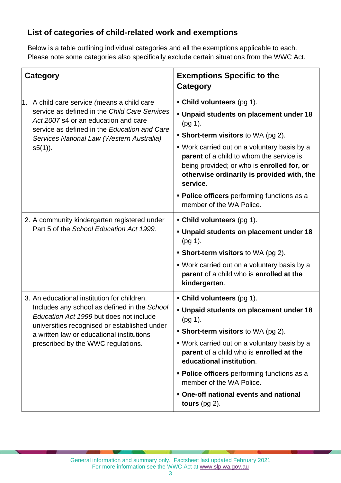# **List of categories of child-related work and exemptions**

Below is a table outlining individual categories and all the exemptions applicable to each. Please note some categories also specifically exclude certain situations from the WWC Act.

| <b>Category</b>                                                                                                                                                                                                                                                           | <b>Exemptions Specific to the</b><br><b>Category</b>                                                                                                                                                                                                                                                                                                                                                         |
|---------------------------------------------------------------------------------------------------------------------------------------------------------------------------------------------------------------------------------------------------------------------------|--------------------------------------------------------------------------------------------------------------------------------------------------------------------------------------------------------------------------------------------------------------------------------------------------------------------------------------------------------------------------------------------------------------|
| A child care service (means a child care<br>l1.<br>service as defined in the Child Care Services<br>Act 2007 s4 or an education and care<br>service as defined in the Education and Care<br>Services National Law (Western Australia)<br>$s5(1)$ ).                       | • Child volunteers (pg 1).<br>Unpaid students on placement under 18<br>$(pg 1)$ .<br><b>Short-term visitors</b> to WA (pg 2).<br>• Work carried out on a voluntary basis by a<br>parent of a child to whom the service is<br>being provided; or who is enrolled for, or<br>otherwise ordinarily is provided with, the<br>service.<br>• Police officers performing functions as a<br>member of the WA Police. |
| 2. A community kindergarten registered under<br>Part 5 of the School Education Act 1999.                                                                                                                                                                                  | • Child volunteers (pg 1).<br>Unpaid students on placement under 18<br>$(pg 1)$ .<br>• Short-term visitors to WA (pg 2).<br>• Work carried out on a voluntary basis by a<br>parent of a child who is enrolled at the<br>kindergarten.                                                                                                                                                                        |
| 3. An educational institution for children.<br>Includes any school as defined in the School<br>Education Act 1999 but does not include<br>universities recognised or established under<br>a written law or educational institutions<br>prescribed by the WWC regulations. | • Child volunteers (pg 1).<br>. Unpaid students on placement under 18<br>(pg 1).<br><b>Short-term visitors to WA (pg 2).</b><br>• Work carried out on a voluntary basis by a<br>parent of a child who is enrolled at the<br>educational institution.<br>• Police officers performing functions as a<br>member of the WA Police.<br>• One-off national events and national<br>tours $(pg 2)$ .                |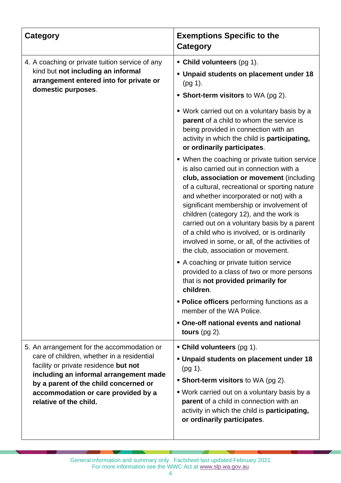| Category                                                                                                                                                                                                                                                                              | <b>Exemptions Specific to the</b><br>Category                                                                                                                                                                                                                                                                                                                                                                                                                                                                      |
|---------------------------------------------------------------------------------------------------------------------------------------------------------------------------------------------------------------------------------------------------------------------------------------|--------------------------------------------------------------------------------------------------------------------------------------------------------------------------------------------------------------------------------------------------------------------------------------------------------------------------------------------------------------------------------------------------------------------------------------------------------------------------------------------------------------------|
| 4. A coaching or private tuition service of any<br>kind but not including an informal<br>arrangement entered into for private or<br>domestic purposes.                                                                                                                                | • Child volunteers (pg 1).<br>Unpaid students on placement under 18<br>$(pg 1)$ .<br>• Short-term visitors to WA (pg 2).                                                                                                                                                                                                                                                                                                                                                                                           |
|                                                                                                                                                                                                                                                                                       | ■ Work carried out on a voluntary basis by a<br>parent of a child to whom the service is<br>being provided in connection with an<br>activity in which the child is participating,<br>or ordinarily participates.                                                                                                                                                                                                                                                                                                   |
|                                                                                                                                                                                                                                                                                       | • When the coaching or private tuition service<br>is also carried out in connection with a<br>club, association or movement (including<br>of a cultural, recreational or sporting nature<br>and whether incorporated or not) with a<br>significant membership or involvement of<br>children (category 12), and the work is<br>carried out on a voluntary basis by a parent<br>of a child who is involved, or is ordinarily<br>involved in some, or all, of the activities of<br>the club, association or movement. |
|                                                                                                                                                                                                                                                                                       | A coaching or private tuition service<br>provided to a class of two or more persons<br>that is not provided primarily for<br>children.                                                                                                                                                                                                                                                                                                                                                                             |
|                                                                                                                                                                                                                                                                                       | • Police officers performing functions as a<br>member of the WA Police.                                                                                                                                                                                                                                                                                                                                                                                                                                            |
|                                                                                                                                                                                                                                                                                       | . One-off national events and national<br>tours $(pg 2)$ .                                                                                                                                                                                                                                                                                                                                                                                                                                                         |
| 5. An arrangement for the accommodation or<br>care of children, whether in a residential<br>facility or private residence but not<br>including an informal arrangement made<br>by a parent of the child concerned or<br>accommodation or care provided by a<br>relative of the child. | • Child volunteers (pg 1).<br>Unpaid students on placement under 18<br>(pg 1).<br>• Short-term visitors to WA (pg 2).<br>• Work carried out on a voluntary basis by a<br>parent of a child in connection with an<br>activity in which the child is participating,<br>or ordinarily participates.                                                                                                                                                                                                                   |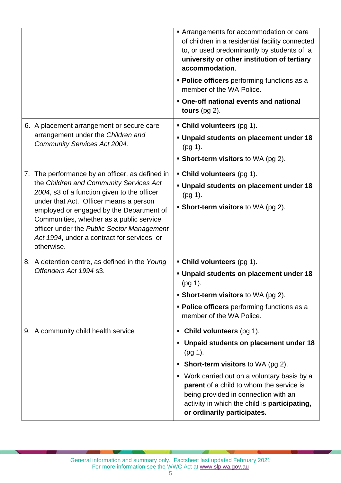|                                                                                                                                                                                                                                                                                                                                                                                        | Arrangements for accommodation or care<br>of children in a residential facility connected<br>to, or used predominantly by students of, a<br>university or other institution of tertiary<br>accommodation.<br>• Police officers performing functions as a<br>member of the WA Police.<br>• One-off national events and national<br>tours $(pg 2)$ .                     |
|----------------------------------------------------------------------------------------------------------------------------------------------------------------------------------------------------------------------------------------------------------------------------------------------------------------------------------------------------------------------------------------|------------------------------------------------------------------------------------------------------------------------------------------------------------------------------------------------------------------------------------------------------------------------------------------------------------------------------------------------------------------------|
| 6. A placement arrangement or secure care<br>arrangement under the Children and<br><b>Community Services Act 2004.</b>                                                                                                                                                                                                                                                                 | • Child volunteers (pg 1).<br>Unpaid students on placement under 18<br>$(pg 1)$ .<br>• Short-term visitors to WA (pg 2).                                                                                                                                                                                                                                               |
| 7. The performance by an officer, as defined in<br>the Children and Community Services Act<br>2004, s3 of a function given to the officer<br>under that Act. Officer means a person<br>employed or engaged by the Department of<br>Communities, whether as a public service<br>officer under the Public Sector Management<br>Act 1994, under a contract for services, or<br>otherwise. | • Child volunteers (pg 1).<br>Unpaid students on placement under 18<br>$(pg 1)$ .<br><b>Short-term visitors to WA (pg 2).</b>                                                                                                                                                                                                                                          |
| 8. A detention centre, as defined in the Young<br>Offenders Act 1994 s3.                                                                                                                                                                                                                                                                                                               | • Child volunteers (pg 1).<br>• Unpaid students on placement under 18<br>$(pg 1)$ .<br>• Short-term visitors to WA (pg 2).<br>• Police officers performing functions as a<br>member of the WA Police.                                                                                                                                                                  |
| 9. A community child health service                                                                                                                                                                                                                                                                                                                                                    | Child volunteers (pg 1).<br>ш<br>Unpaid students on placement under 18<br>ш<br>$(pg 1)$ .<br><b>Short-term visitors to WA (pg 2).</b><br>п<br>• Work carried out on a voluntary basis by a<br>parent of a child to whom the service is<br>being provided in connection with an<br>activity in which the child is <b>participating</b> ,<br>or ordinarily participates. |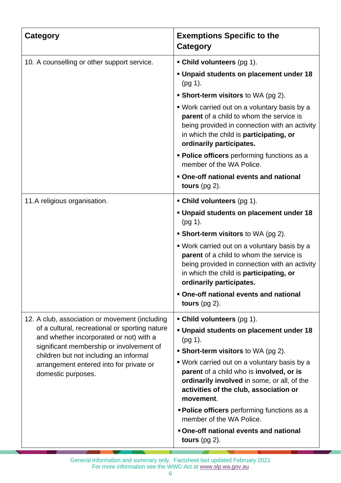| <b>Category</b>                                                                                                                                                                                                                                  | <b>Exemptions Specific to the</b><br>Category                                                                                                                                                                                   |
|--------------------------------------------------------------------------------------------------------------------------------------------------------------------------------------------------------------------------------------------------|---------------------------------------------------------------------------------------------------------------------------------------------------------------------------------------------------------------------------------|
| 10. A counselling or other support service.                                                                                                                                                                                                      | • Child volunteers (pg 1).                                                                                                                                                                                                      |
|                                                                                                                                                                                                                                                  | Unpaid students on placement under 18<br>(pg 1).                                                                                                                                                                                |
|                                                                                                                                                                                                                                                  | • Short-term visitors to WA (pg 2).                                                                                                                                                                                             |
|                                                                                                                                                                                                                                                  | • Work carried out on a voluntary basis by a<br><b>parent</b> of a child to whom the service is<br>being provided in connection with an activity<br>in which the child is <b>participating</b> , or<br>ordinarily participates. |
|                                                                                                                                                                                                                                                  | • Police officers performing functions as a<br>member of the WA Police.                                                                                                                                                         |
|                                                                                                                                                                                                                                                  | • One-off national events and national<br>tours $(pg 2)$ .                                                                                                                                                                      |
| 11.A religious organisation.                                                                                                                                                                                                                     | • Child volunteers (pg 1).                                                                                                                                                                                                      |
|                                                                                                                                                                                                                                                  | Unpaid students on placement under 18<br>(pg 1).                                                                                                                                                                                |
|                                                                                                                                                                                                                                                  | • Short-term visitors to WA (pg 2).                                                                                                                                                                                             |
|                                                                                                                                                                                                                                                  | • Work carried out on a voluntary basis by a<br>parent of a child to whom the service is<br>being provided in connection with an activity<br>in which the child is participating, or<br>ordinarily participates.                |
|                                                                                                                                                                                                                                                  | • One-off national events and national<br>tours $(pg 2)$ .                                                                                                                                                                      |
| 12. A club, association or movement (including                                                                                                                                                                                                   | • Child volunteers (pg 1).                                                                                                                                                                                                      |
| of a cultural, recreational or sporting nature<br>and whether incorporated or not) with a<br>significant membership or involvement of<br>children but not including an informal<br>arrangement entered into for private or<br>domestic purposes. | Unpaid students on placement under 18<br>(pg 1).                                                                                                                                                                                |
|                                                                                                                                                                                                                                                  | • Short-term visitors to WA (pg 2).                                                                                                                                                                                             |
|                                                                                                                                                                                                                                                  | • Work carried out on a voluntary basis by a<br>parent of a child who is involved, or is<br>ordinarily involved in some, or all, of the<br>activities of the club, association or<br>movement.                                  |
|                                                                                                                                                                                                                                                  | <b>Police officers</b> performing functions as a<br>member of the WA Police.                                                                                                                                                    |
|                                                                                                                                                                                                                                                  | • One-off national events and national<br>tours $(pg 2)$ .                                                                                                                                                                      |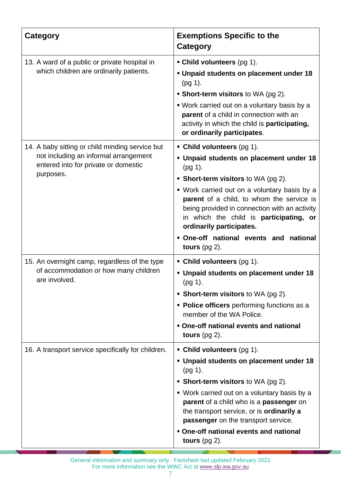| <b>Category</b>                                                                                                                               | <b>Exemptions Specific to the</b><br>Category                                                                                                                                                                                                                                                                                                                                                                         |
|-----------------------------------------------------------------------------------------------------------------------------------------------|-----------------------------------------------------------------------------------------------------------------------------------------------------------------------------------------------------------------------------------------------------------------------------------------------------------------------------------------------------------------------------------------------------------------------|
| 13. A ward of a public or private hospital in<br>which children are ordinarily patients.                                                      | • Child volunteers (pg 1).<br><b>Unpaid students on placement under 18</b><br>$(pg 1)$ .<br>• Short-term visitors to WA (pg 2).<br>• Work carried out on a voluntary basis by a<br>parent of a child in connection with an<br>activity in which the child is participating,<br>or ordinarily participates.                                                                                                            |
| 14. A baby sitting or child minding service but<br>not including an informal arrangement<br>entered into for private or domestic<br>purposes. | • Child volunteers (pg 1).<br>• Unpaid students on placement under 18<br>$(pg 1)$ .<br>• Short-term visitors to WA (pg 2).<br>• Work carried out on a voluntary basis by a<br>parent of a child, to whom the service is<br>being provided in connection with an activity<br>in which the child is <b>participating</b> , or<br>ordinarily participates.<br>. One-off national events and national<br>tours $(pg 2)$ . |
| 15. An overnight camp, regardless of the type<br>of accommodation or how many children<br>are involved.                                       | • Child volunteers $(pq 1)$ .<br>Unpaid students on placement under 18<br>(pg 1).<br>• Short-term visitors to WA (pg 2).<br>• Police officers performing functions as a<br>member of the WA Police.<br>. One-off national events and national<br>tours $(pg 2)$ .                                                                                                                                                     |
| 16. A transport service specifically for children.                                                                                            | • Child volunteers (pg 1).<br>Unpaid students on placement under 18<br>$(pg 1)$ .<br>• Short-term visitors to WA (pg 2).<br>• Work carried out on a voluntary basis by a<br>parent of a child who is a passenger on<br>the transport service, or is ordinarily a<br>passenger on the transport service.<br>• One-off national events and national<br>tours $(pg 2)$ .                                                 |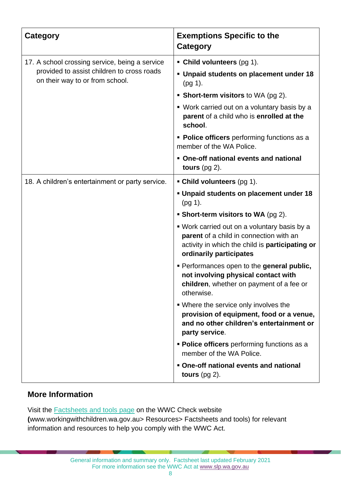| <b>Category</b>                                                                                                                 | <b>Exemptions Specific to the</b><br>Category                                                                                                                         |
|---------------------------------------------------------------------------------------------------------------------------------|-----------------------------------------------------------------------------------------------------------------------------------------------------------------------|
| 17. A school crossing service, being a service<br>provided to assist children to cross roads<br>on their way to or from school. | • Child volunteers $(pq 1)$ .                                                                                                                                         |
|                                                                                                                                 | • Unpaid students on placement under 18<br>$(pg 1)$ .                                                                                                                 |
|                                                                                                                                 | • Short-term visitors to WA (pg 2).                                                                                                                                   |
|                                                                                                                                 | • Work carried out on a voluntary basis by a<br>parent of a child who is enrolled at the<br>school.                                                                   |
|                                                                                                                                 | • Police officers performing functions as a<br>member of the WA Police.                                                                                               |
|                                                                                                                                 | • One-off national events and national<br>tours $(pg 2)$ .                                                                                                            |
| 18. A children's entertainment or party service.                                                                                | • Child volunteers (pg 1).                                                                                                                                            |
|                                                                                                                                 | . Unpaid students on placement under 18<br>(pg 1).                                                                                                                    |
|                                                                                                                                 | <b>Short-term visitors to WA</b> (pg 2).                                                                                                                              |
|                                                                                                                                 | • Work carried out on a voluntary basis by a<br>parent of a child in connection with an<br>activity in which the child is participating or<br>ordinarily participates |
|                                                                                                                                 | Performances open to the general public,<br>not involving physical contact with<br>children, whether on payment of a fee or<br>otherwise.                             |
|                                                                                                                                 | . Where the service only involves the<br>provision of equipment, food or a venue,<br>and no other children's entertainment or<br>party service.                       |
|                                                                                                                                 | • Police officers performing functions as a<br>member of the WA Police.                                                                                               |
|                                                                                                                                 | • One-off national events and national<br>tours $(pg 2)$ .                                                                                                            |

# **More Information**

Visit the [Factsheets and tools page](https://workingwithchildren.wa.gov.au/resources/publications/fact-sheets-booklets) on the WWC Check website **(**www.workingwithchildren.wa.gov.au> Resources> Factsheets and tools) for relevant information and resources to help you comply with the WWC Act.